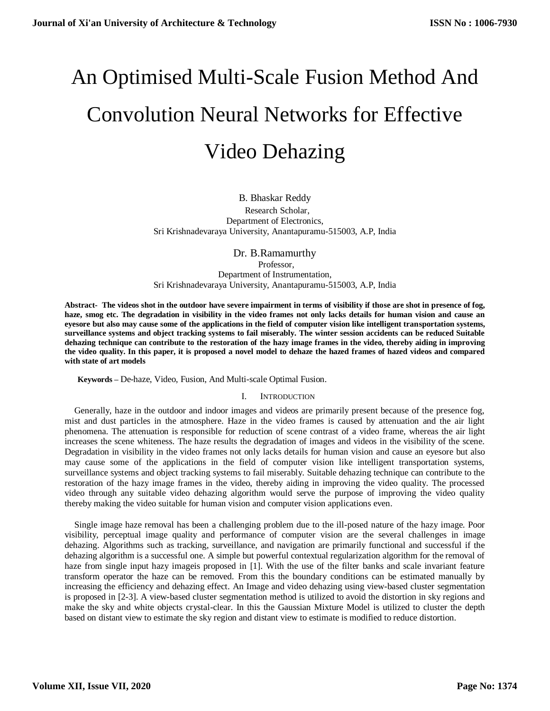# An Optimised Multi-Scale Fusion Method And Convolution Neural Networks for Effective Video Dehazing

B. Bhaskar Reddy Research Scholar, Department of Electronics, Sri Krishnadevaraya University, Anantapuramu-515003, A.P, India

Dr*.* B.Ramamurthy Professor. Department of Instrumentation, Sri Krishnadevaraya University, Anantapuramu-515003, A.P, India

**[Abstract- The videos shot in the outdoor have severe impairment in terms of visibility if those are shot in presence of fog,](mailto:Email-%20%20%20anuradhamit@gmail.com)  [haze, smog etc. The degradation in visibility in the video frames not only lacks details for human vision and cause an](mailto:Email-%20%20%20anuradhamit@gmail.com)  [eyesore but also may cause some of the applications in the field of computer vision like intelligent transportation systems,](mailto:Email-%20%20%20anuradhamit@gmail.com)  [surveillance systems and object tracking systems to fail miserably. The winter session accidents can be reduced Suitable](mailto:Email-%20%20%20anuradhamit@gmail.com)  [dehazing technique can contribute to the restoration of the hazy image frames in the video, thereby aiding in improving](mailto:Email-%20%20%20anuradhamit@gmail.com)  [the video quality. In this paper, it is proposed a novel model to dehaze the hazed frames of hazed videos and compared](mailto:Email-%20%20%20anuradhamit@gmail.com)  [with state of art models](mailto:Email-%20%20%20anuradhamit@gmail.com)**

**Keywords –** [De-haze, Video, Fusion, And Multi-scale Optimal Fusion.](mailto:Email-%20%20%20anuradhamit@gmail.com)

### I. I[NTRODUCTION](mailto:Email-%20%20%20anuradhamit@gmail.com)

[Generally, haze in the outdoor and indoor images and videos are primarily present because of the presence fog,](mailto:Email-%20%20%20anuradhamit@gmail.com)  [mist and dust particles in the atmosphere. Haze in the video frames is caused by attenuation and the air light](mailto:Email-%20%20%20anuradhamit@gmail.com)  [phenomena. The attenuation is responsible for reduction of scene contrast of a video frame, whereas the air light](mailto:Email-%20%20%20anuradhamit@gmail.com)  [increases the scene whiteness. The haze results the degradation of images and videos in the visibility of the scene.](mailto:Email-%20%20%20anuradhamit@gmail.com)  [Degradation in visibility in the video frames not only lacks details for human vision and cause an eyesore but also](mailto:Email-%20%20%20anuradhamit@gmail.com)  [may cause some of the applications in the field of computer vision like intelligent transportation systems,](mailto:Email-%20%20%20anuradhamit@gmail.com)  [surveillance systems and object tracking systems to fail miserably. Suitable dehazing technique can contribute to the](mailto:Email-%20%20%20anuradhamit@gmail.com)  [restoration of the hazy image frames in the video, thereby aiding in improving the video quality. The processed](mailto:Email-%20%20%20anuradhamit@gmail.com)  [video through any suitable video dehazing algorithm would serve the purpose of improving the video quality](mailto:Email-%20%20%20anuradhamit@gmail.com)  thereby making the video suitable for [human vision and computer vision applications even.](mailto:Email-%20%20%20anuradhamit@gmail.com)

[Single image haze removal has been a challenging problem due to the ill-posed nature of the hazy image. Poor](mailto:Email-%20%20%20anuradhamit@gmail.com)  [visibility, perceptual image quality and performance of computer vision are the several challenges in image](mailto:Email-%20%20%20anuradhamit@gmail.com)  [dehazing. Algorithms such as tracking, surveillance, and navigation are primarily functional and successful if the](mailto:Email-%20%20%20anuradhamit@gmail.com)  [dehazing algorithm is a successful one. A simple but powerful contextual regularization algorithm for the removal of](mailto:Email-%20%20%20anuradhamit@gmail.com)  [haze from single input hazy imageis proposed in \[1\]. With the use of the filter banks and scale invariant feature](mailto:Email-%20%20%20anuradhamit@gmail.com)  [transform operator the haze can be removed. From this the boundary conditions can be estimated manually by](mailto:Email-%20%20%20anuradhamit@gmail.com)  increasing the efficiency and dehazing effect. [An Image and video dehazing using view-based cluster segmentation](mailto:Email-%20%20%20anuradhamit@gmail.com)  [is proposed in \[2-3\]. A view-based cluster segmentation method is utilized to avoid the distortion in sky regions and](mailto:Email-%20%20%20anuradhamit@gmail.com)  [make the sky and white objects crystal-clear. In this the Gaussian Mixture Model is utilized to cluster the depth](mailto:Email-%20%20%20anuradhamit@gmail.com)  [based on distant view to estimate the sky region and distant view to estimate is modified to reduce distortion.](mailto:Email-%20%20%20anuradhamit@gmail.com)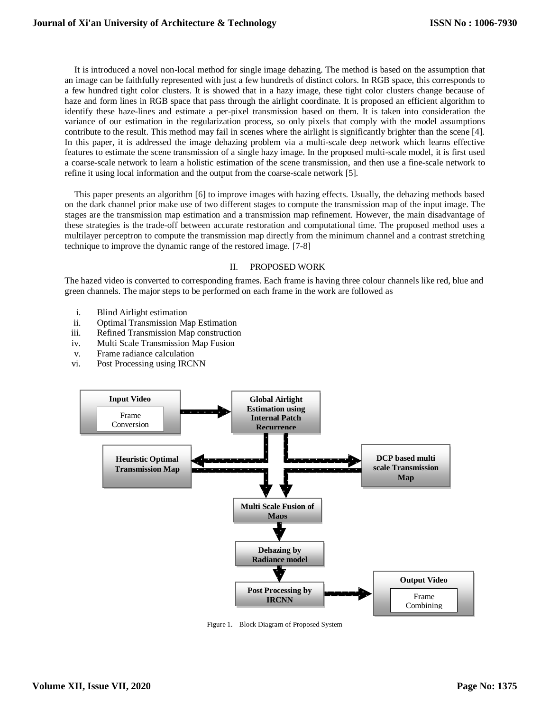[It is introduced a novel non-local method for single image dehazing. The method is based on the assumption that](mailto:Email-%20%20%20anuradhamit@gmail.com)  [an image can be faithfully represented with just a few hundreds of distinct colors. In RGB space, this corresponds to](mailto:Email-%20%20%20anuradhamit@gmail.com)  [a few hundred tight color clusters. It is showed that in a hazy image, these tight color clusters change because of](mailto:Email-%20%20%20anuradhamit@gmail.com)  [haze and form lines in RGB space that pass through the airlight coordinate. It is proposed an efficient algorithm to](mailto:Email-%20%20%20anuradhamit@gmail.com)  [identify these haze-lines and estimate a per-pixel transmission based on them. It is taken into consideration the](mailto:Email-%20%20%20anuradhamit@gmail.com)  [variance of our estimation in the regularization process, so only pixels that comply with the model assumptions](mailto:Email-%20%20%20anuradhamit@gmail.com)  [contribute to the result. This method may fail in scenes where the airlight is significantly brighter than the scene \[4\].](mailto:Email-%20%20%20anuradhamit@gmail.com) [In this paper, it is addressed the image dehazing problem via a multi-scale deep network which learns effective](mailto:Email-%20%20%20anuradhamit@gmail.com)  [features to estimate the scene transmission of a single hazy image. In the proposed multi-scale model, it is first used](mailto:Email-%20%20%20anuradhamit@gmail.com)  [a coarse-scale network to learn a holistic estimation of the scene transmission,](mailto:Email-%20%20%20anuradhamit@gmail.com) and then use a fine-scale network to [refine it using local information and the output from the coarse-scale network \[5\].](mailto:Email-%20%20%20anuradhamit@gmail.com)

[This paper presents an algorithm \[6\] to improve images with hazing effects. Usually, the dehazing methods based](mailto:Email-%20%20%20anuradhamit@gmail.com)  [on the dark channel prior make use of two different stages to compute the transmission map of the input image. The](mailto:Email-%20%20%20anuradhamit@gmail.com)  [stages are the transmission map estimation and a transmission map refinement. However, the main disadvantage of](mailto:Email-%20%20%20anuradhamit@gmail.com)  [these strategies is the trade-off between accurate restoration and computational time. The proposed method uses a](mailto:Email-%20%20%20anuradhamit@gmail.com)  [multilayer perceptron to compute the transmission map directly from the minimum channel and a contrast stretching](mailto:Email-%20%20%20anuradhamit@gmail.com)  [technique to improve the dynamic range of the restored image.](mailto:Email-%20%20%20anuradhamit@gmail.com) [7-8]

# II. [PROPOSED](mailto:Email-%20%20%20anuradhamit@gmail.com) WORK

[The hazed video is converted to corresponding frames. Each frame is having three colour channels like red, blue and](mailto:Email-%20%20%20anuradhamit@gmail.com)  [green channels. The major steps to be performed on each frame in the work are followed as](mailto:Email-%20%20%20anuradhamit@gmail.com)

- i. [Blind Airlight estimation](mailto:Email-%20%20%20anuradhamit@gmail.com)
- ii. [Optimal Transmission Map Estimation](mailto:Email-%20%20%20anuradhamit@gmail.com)
- iii. [Refined Transmission Map construction](mailto:Email-%20%20%20anuradhamit@gmail.com)
- iv. [Multi Scale Transmission Map Fusion](mailto:Email-%20%20%20anuradhamit@gmail.com)
- v. Frame radiance [calculation](mailto:Email-%20%20%20anuradhamit@gmail.com)
- vi. [Post Processing using IRCNN](mailto:Email-%20%20%20anuradhamit@gmail.com)



[Figure 1. Block Diagram of Proposed System](mailto:Email-%20%20%20anuradhamit@gmail.com)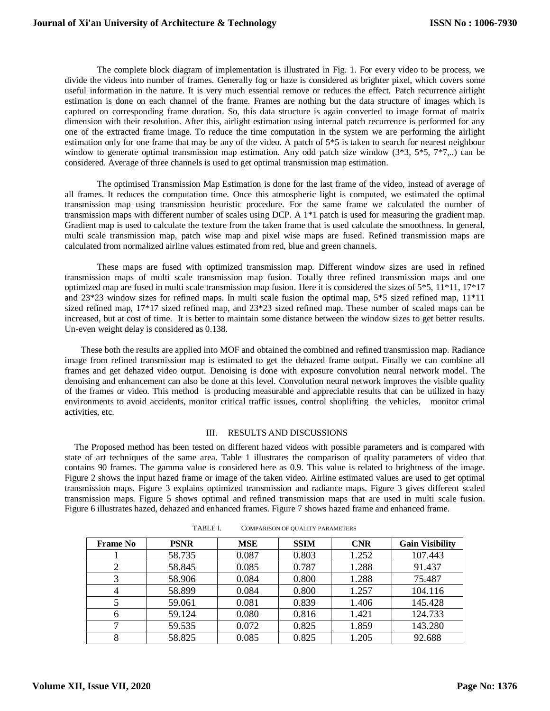[The complete block diagram of implementation is illustrated in Fig. 1. For every video to be process, we](mailto:Email-%20%20%20anuradhamit@gmail.com)  [divide the videos into number of frames. Generally fog or haze is considered as brighter pixel, which covers some](mailto:Email-%20%20%20anuradhamit@gmail.com)  [useful information in the nature. It is very much essential remove or reduces the effect.](mailto:Email-%20%20%20anuradhamit@gmail.com) Patch recurrence airlight [estimation is done on each channel of the frame. Frames are nothing but the data structure of images which is](mailto:Email-%20%20%20anuradhamit@gmail.com)  [captured on corresponding frame duration. So, this data structure is again converted to image format of matrix](mailto:Email-%20%20%20anuradhamit@gmail.com)  [dimension with their resolution. After this, airlight estimation using internal patch recurrence is performed for any](mailto:Email-%20%20%20anuradhamit@gmail.com)  [one of the extracted frame image. To reduce the time computation in the system we are performing the airlight](mailto:Email-%20%20%20anuradhamit@gmail.com)  [estimation only for one frame that may be any of the video. A](mailto:Email-%20%20%20anuradhamit@gmail.com) patch of 5\*5 is taken to search for nearest neighbour window to generate optimal transmission map estimation. Any odd patch size window  $(3*3, 5*5, 7*7, ...)$  can be [considered. Average of three channels is used to get optimal transmission map estimation.](mailto:Email-%20%20%20anuradhamit@gmail.com) 

[The optimised Transmission Map Estimation is done for the last frame of the video, instead of average of](mailto:Email-%20%20%20anuradhamit@gmail.com)  all frames. It reduces the computation time. [Once this atmospheric light is computed, we estimated the optimal](mailto:Email-%20%20%20anuradhamit@gmail.com)  [transmission map using transmission heuristic procedure. For the same frame we calculated the number of](mailto:Email-%20%20%20anuradhamit@gmail.com)  [transmission maps with different number of scales using DCP. A 1\\*1 patch is used for measuring the gradient map.](mailto:Email-%20%20%20anuradhamit@gmail.com)  [Gradient map is used to calculate the texture from the taken frame that is used calculate the smoothness. In general,](mailto:Email-%20%20%20anuradhamit@gmail.com)  [multi scale transmission map, patch wise map and pixel wise maps are fused. Refined transmission maps are](mailto:Email-%20%20%20anuradhamit@gmail.com)  [calculated from normalized airline values estimated from red, blue and green channels.](mailto:Email-%20%20%20anuradhamit@gmail.com) 

[These maps are fused with optimized transmission map. Different window sizes are used in refined](mailto:Email-%20%20%20anuradhamit@gmail.com)  [transmission maps of multi scale transmission map fusion. Totally three refined transmission maps and one](mailto:Email-%20%20%20anuradhamit@gmail.com)  [optimized map are fused in multi scale transmission map fusion.](mailto:Email-%20%20%20anuradhamit@gmail.com) Here it is considered the sizes of 5\*5, 11\*11, 17\*17 [and 23\\*23 window sizes for refined maps. In multi scale fusion the optimal map, 5\\*5 sized refined map, 11\\*11](mailto:Email-%20%20%20anuradhamit@gmail.com)  [sized refined map, 17\\*17 sized refined map, and 23\\*23 sized refined map. These number of scaled maps can be](mailto:Email-%20%20%20anuradhamit@gmail.com) [increased, but at cost of time. It is better to maintain some distance between the window sizes to get better results.](mailto:Email-%20%20%20anuradhamit@gmail.com)  [Un-even weight delay is considered as 0.138.](mailto:Email-%20%20%20anuradhamit@gmail.com) 

[These both the results are applied into MOF and obtained the combined and refined transmission map. Radiance](mailto:Email-%20%20%20anuradhamit@gmail.com)  [image from refined transmission map is estimated to get the dehazed frame output. Finally we can combine all](mailto:Email-%20%20%20anuradhamit@gmail.com)  frames and get dehazed video output. [Denoising is done with exposure convolution neural network model. The](mailto:Email-%20%20%20anuradhamit@gmail.com)  [denoising and enhancement can also be done at this level.](mailto:Email-%20%20%20anuradhamit@gmail.com) Convolution neural network improves the visible quality [of the frames or video. This method is producing measurable and appreciable results that can be utilized in hazy](mailto:Email-%20%20%20anuradhamit@gmail.com)  [environments to avoid accidents, monitor critical traffic issues, control shoplifting the vehicles, monitor crimal](mailto:Email-%20%20%20anuradhamit@gmail.com)  [activities, etc.](mailto:Email-%20%20%20anuradhamit@gmail.com)

### III. RESULTS AND [DISCUSSIONS](mailto:Email-%20%20%20anuradhamit@gmail.com)

[The Proposed method has been tested on different hazed videos with possible parameters and is compared with](mailto:Email-%20%20%20anuradhamit@gmail.com)  [state of art techniques of the same area. Table 1 illustrates the comparison of quality parameters of video that](mailto:Email-%20%20%20anuradhamit@gmail.com)  [contains 90 frames. The gamma value is considered here as 0.9. This value is related to brightness of the image.](mailto:Email-%20%20%20anuradhamit@gmail.com)  Figure 2 [shows the input hazed frame or image of the taken video. Airline estimated values are used to get optimal](mailto:Email-%20%20%20anuradhamit@gmail.com)  transmission maps. Figure 3 [explains optimized transmission and radiance maps. Figure 3 gives different scaled](mailto:Email-%20%20%20anuradhamit@gmail.com)  transmission maps. Figure 5 [shows optimal and refined transmission maps that are used in multi scale fusion.](mailto:Email-%20%20%20anuradhamit@gmail.com)  Figure 6 [illustrates hazed, dehazed and enhanced frames. Figure 7](mailto:Email-%20%20%20anuradhamit@gmail.com) shows hazed frame and enhanced frame.

| <b>Frame</b> No | <b>PSNR</b> | <b>MSE</b> | <b>SSIM</b> | <b>CNR</b> | <b>Gain Visibility</b> |
|-----------------|-------------|------------|-------------|------------|------------------------|
|                 | 58.735      | 0.087      | 0.803       | 1.252      | 107.443                |
|                 | 58.845      | 0.085      | 0.787       | 1.288      | 91.437                 |
|                 | 58.906      | 0.084      | 0.800       | 1.288      | 75.487                 |
| 4               | 58.899      | 0.084      | 0.800       | 1.257      | 104.116                |
|                 | 59.061      | 0.081      | 0.839       | 1.406      | 145.428                |
| 6               | 59.124      | 0.080      | 0.816       | 1.421      | 124.733                |
|                 | 59.535      | 0.072      | 0.825       | 1.859      | 143.280                |
| 8               | 58.825      | 0.085      | 0.825       | 1.205      | 92.688                 |

TABLE I. C[OMPARISON OF QUALITY](mailto:Email-%20%20%20anuradhamit@gmail.com) PARAMETERS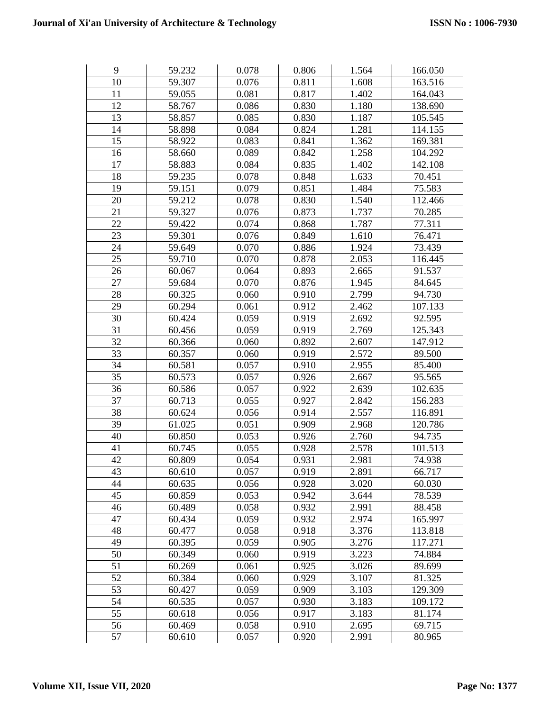| 9  | 59.232 | 0.078 | 0.806 | 1.564 | 166.050 |
|----|--------|-------|-------|-------|---------|
| 10 | 59.307 | 0.076 | 0.811 | 1.608 | 163.516 |
| 11 | 59.055 | 0.081 | 0.817 | 1.402 | 164.043 |
| 12 | 58.767 | 0.086 | 0.830 | 1.180 | 138.690 |
| 13 | 58.857 | 0.085 | 0.830 | 1.187 | 105.545 |
| 14 | 58.898 | 0.084 | 0.824 | 1.281 | 114.155 |
| 15 | 58.922 | 0.083 | 0.841 | 1.362 | 169.381 |
| 16 | 58.660 | 0.089 | 0.842 | 1.258 | 104.292 |
| 17 | 58.883 | 0.084 | 0.835 | 1.402 | 142.108 |
| 18 | 59.235 | 0.078 | 0.848 | 1.633 | 70.451  |
| 19 | 59.151 | 0.079 | 0.851 | 1.484 | 75.583  |
| 20 | 59.212 | 0.078 | 0.830 | 1.540 | 112.466 |
| 21 | 59.327 | 0.076 | 0.873 | 1.737 | 70.285  |
| 22 | 59.422 | 0.074 | 0.868 | 1.787 | 77.311  |
| 23 | 59.301 | 0.076 | 0.849 | 1.610 | 76.471  |
| 24 | 59.649 | 0.070 | 0.886 | 1.924 | 73.439  |
| 25 | 59.710 | 0.070 | 0.878 | 2.053 | 116.445 |
| 26 | 60.067 | 0.064 | 0.893 | 2.665 | 91.537  |
| 27 | 59.684 | 0.070 | 0.876 | 1.945 | 84.645  |
| 28 | 60.325 | 0.060 | 0.910 | 2.799 | 94.730  |
| 29 | 60.294 | 0.061 | 0.912 | 2.462 | 107.133 |
| 30 | 60.424 | 0.059 | 0.919 | 2.692 | 92.595  |
| 31 | 60.456 | 0.059 | 0.919 | 2.769 | 125.343 |
| 32 | 60.366 | 0.060 | 0.892 | 2.607 | 147.912 |
| 33 | 60.357 | 0.060 | 0.919 | 2.572 | 89.500  |
| 34 | 60.581 | 0.057 | 0.910 | 2.955 | 85.400  |
| 35 | 60.573 | 0.057 | 0.926 | 2.667 | 95.565  |
| 36 | 60.586 | 0.057 | 0.922 | 2.639 | 102.635 |
| 37 | 60.713 | 0.055 | 0.927 | 2.842 | 156.283 |
| 38 | 60.624 | 0.056 | 0.914 | 2.557 | 116.891 |
| 39 | 61.025 | 0.051 | 0.909 | 2.968 | 120.786 |
| 40 | 60.850 | 0.053 | 0.926 | 2.760 | 94.735  |
| 41 | 60.745 | 0.055 | 0.928 | 2.578 | 101.513 |
| 42 | 60.809 | 0.054 | 0.931 | 2.981 | 74.938  |
| 43 | 60.610 | 0.057 | 0.919 | 2.891 | 66.717  |
| 44 | 60.635 | 0.056 | 0.928 | 3.020 | 60.030  |
| 45 | 60.859 | 0.053 | 0.942 | 3.644 | 78.539  |
| 46 | 60.489 | 0.058 | 0.932 | 2.991 | 88.458  |
| 47 | 60.434 | 0.059 | 0.932 | 2.974 | 165.997 |
| 48 | 60.477 | 0.058 | 0.918 | 3.376 | 113.818 |
| 49 | 60.395 | 0.059 | 0.905 | 3.276 | 117.271 |
| 50 | 60.349 | 0.060 | 0.919 | 3.223 | 74.884  |
| 51 | 60.269 | 0.061 | 0.925 | 3.026 | 89.699  |
| 52 | 60.384 | 0.060 | 0.929 | 3.107 | 81.325  |
| 53 | 60.427 | 0.059 | 0.909 | 3.103 | 129.309 |
| 54 | 60.535 | 0.057 | 0.930 | 3.183 | 109.172 |
| 55 | 60.618 | 0.056 | 0.917 | 3.183 | 81.174  |
| 56 | 60.469 | 0.058 | 0.910 | 2.695 | 69.715  |
| 57 | 60.610 | 0.057 | 0.920 | 2.991 | 80.965  |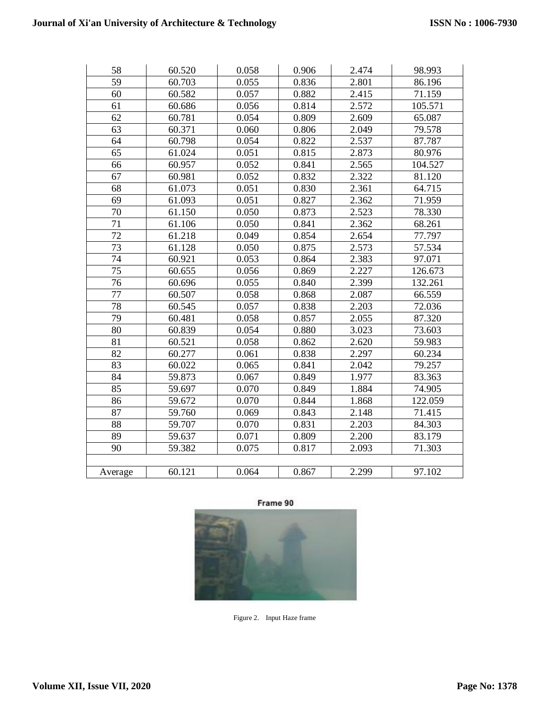| 58              | 60.520 | 0.058 | 0.906 | 2.474 | 98.993  |
|-----------------|--------|-------|-------|-------|---------|
| $\overline{59}$ | 60.703 | 0.055 | 0.836 | 2.801 | 86.196  |
| 60              | 60.582 | 0.057 | 0.882 | 2.415 | 71.159  |
| 61              | 60.686 | 0.056 | 0.814 | 2.572 | 105.571 |
| 62              | 60.781 | 0.054 | 0.809 | 2.609 | 65.087  |
| 63              | 60.371 | 0.060 | 0.806 | 2.049 | 79.578  |
| 64              | 60.798 | 0.054 | 0.822 | 2.537 | 87.787  |
| 65              | 61.024 | 0.051 | 0.815 | 2.873 | 80.976  |
| 66              | 60.957 | 0.052 | 0.841 | 2.565 | 104.527 |
| 67              | 60.981 | 0.052 | 0.832 | 2.322 | 81.120  |
| 68              | 61.073 | 0.051 | 0.830 | 2.361 | 64.715  |
| 69              | 61.093 | 0.051 | 0.827 | 2.362 | 71.959  |
| 70              | 61.150 | 0.050 | 0.873 | 2.523 | 78.330  |
| 71              | 61.106 | 0.050 | 0.841 | 2.362 | 68.261  |
| 72              | 61.218 | 0.049 | 0.854 | 2.654 | 77.797  |
| $\overline{73}$ | 61.128 | 0.050 | 0.875 | 2.573 | 57.534  |
| $\overline{74}$ | 60.921 | 0.053 | 0.864 | 2.383 | 97.071  |
| 75              | 60.655 | 0.056 | 0.869 | 2.227 | 126.673 |
| 76              | 60.696 | 0.055 | 0.840 | 2.399 | 132.261 |
| 77              | 60.507 | 0.058 | 0.868 | 2.087 | 66.559  |
| 78              | 60.545 | 0.057 | 0.838 | 2.203 | 72.036  |
| 79              | 60.481 | 0.058 | 0.857 | 2.055 | 87.320  |
| 80              | 60.839 | 0.054 | 0.880 | 3.023 | 73.603  |
| 81              | 60.521 | 0.058 | 0.862 | 2.620 | 59.983  |
| 82              | 60.277 | 0.061 | 0.838 | 2.297 | 60.234  |
| 83              | 60.022 | 0.065 | 0.841 | 2.042 | 79.257  |
| 84              | 59.873 | 0.067 | 0.849 | 1.977 | 83.363  |
| 85              | 59.697 | 0.070 | 0.849 | 1.884 | 74.905  |
| 86              | 59.672 | 0.070 | 0.844 | 1.868 | 122.059 |
| 87              | 59.760 | 0.069 | 0.843 | 2.148 | 71.415  |
| 88              | 59.707 | 0.070 | 0.831 | 2.203 | 84.303  |
| 89              | 59.637 | 0.071 | 0.809 | 2.200 | 83.179  |
| 90              | 59.382 | 0.075 | 0.817 | 2.093 | 71.303  |
|                 |        |       |       |       |         |
| Average         | 60.121 | 0.064 | 0.867 | 2.299 | 97.102  |



[Figure 2. Input Haze frame](mailto:Email-%20%20%20anuradhamit@gmail.com)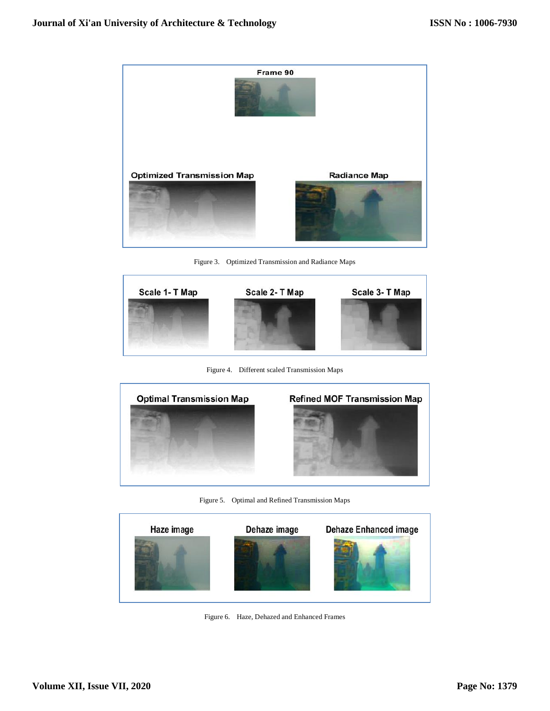

[Figure 3. Optimized Transmission and Radiance Maps](mailto:Email-%20%20%20anuradhamit@gmail.com)



[Figure 4. Different scaled Transmission Maps](mailto:Email-%20%20%20anuradhamit@gmail.com)



[Figure 5. Optimal and Refined Transmission Maps](mailto:Email-%20%20%20anuradhamit@gmail.com)



[Figure 6. Haze, Dehazed and Enhanced Frames](mailto:Email-%20%20%20anuradhamit@gmail.com)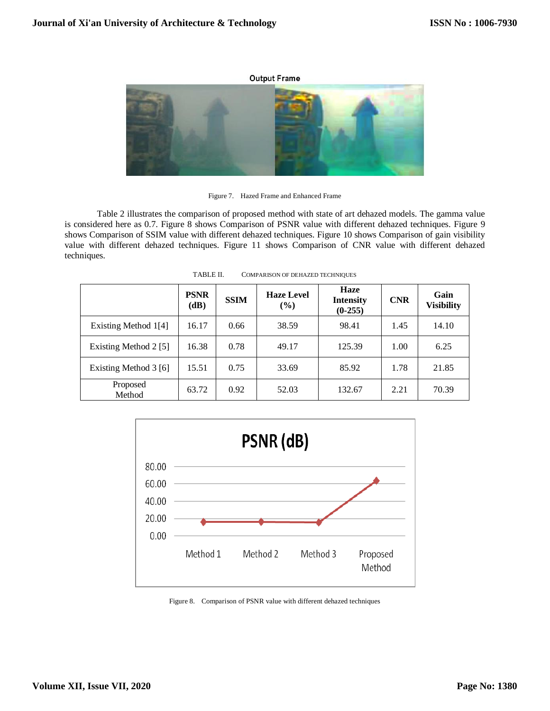#### **Output Frame**



[Figure 7. Hazed Frame and Enhanced Frame](mailto:Email-%20%20%20anuradhamit@gmail.com)

[Table 2 illustrates the comparison of proposed method with state of art dehazed models. The gamma value](mailto:Email-%20%20%20anuradhamit@gmail.com)  is considered here as 0.7. Figure 8 [shows Comparison of PSNR value with different dehazed techniques. Figure 9](mailto:Email-%20%20%20anuradhamit@gmail.com) [shows Comparison of SSIM value with different dehazed techniques. Figure 10](mailto:Email-%20%20%20anuradhamit@gmail.com) shows Comparison of gain visibility value with different dehazed techniques. Figure 11 [shows Comparison of CNR value with different dehazed](mailto:Email-%20%20%20anuradhamit@gmail.com)  [techniques.](mailto:Email-%20%20%20anuradhamit@gmail.com)

|                       | <b>PSNR</b><br>(dB) | <b>SSIM</b> | <b>Haze Level</b><br>$\frac{9}{6}$ | Haze<br><b>Intensity</b><br>$(0-255)$ | <b>CNR</b> | Gain<br><b>Visibility</b> |
|-----------------------|---------------------|-------------|------------------------------------|---------------------------------------|------------|---------------------------|
| Existing Method 1[4]  | 16.17               | 0.66        | 38.59                              | 98.41                                 | 1.45       | 14.10                     |
| Existing Method 2 [5] | 16.38               | 0.78        | 49.17                              | 125.39                                | 1.00       | 6.25                      |
| Existing Method 3 [6] | 15.51               | 0.75        | 33.69                              | 85.92                                 | 1.78       | 21.85                     |
| Proposed<br>Method    | 63.72               | 0.92        | 52.03                              | 132.67                                | 2.21       | 70.39                     |

TABLE II. C[OMPARISON OF DEHAZED](mailto:Email-%20%20%20anuradhamit@gmail.com) TECHNIQUES



[Figure 8. Comparison of PSNR value with different dehazed techniques](mailto:Email-%20%20%20anuradhamit@gmail.com)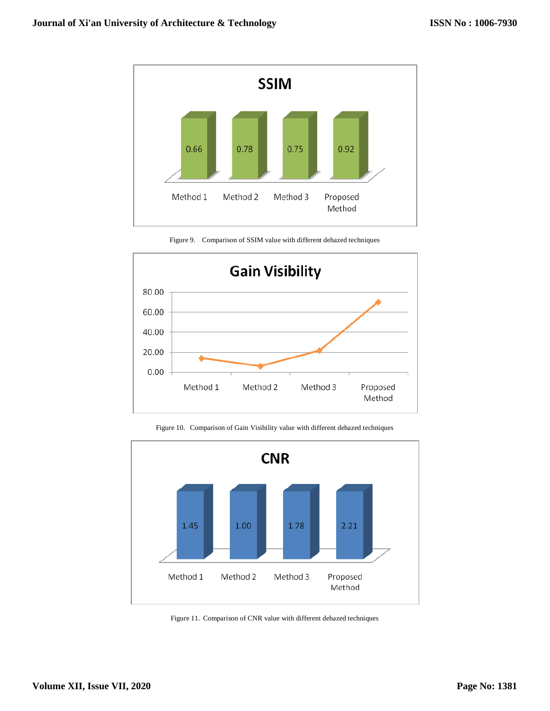



[Figure 9. Comparison of SSIM value with different dehazed techniques](mailto:Email-%20%20%20anuradhamit@gmail.com)

[Figure 10. Comparison of Gain Visibility value with different dehazed techniques](mailto:Email-%20%20%20anuradhamit@gmail.com)



[Figure 11. Comparison of CNR value with different dehazed techniques](mailto:Email-%20%20%20anuradhamit@gmail.com)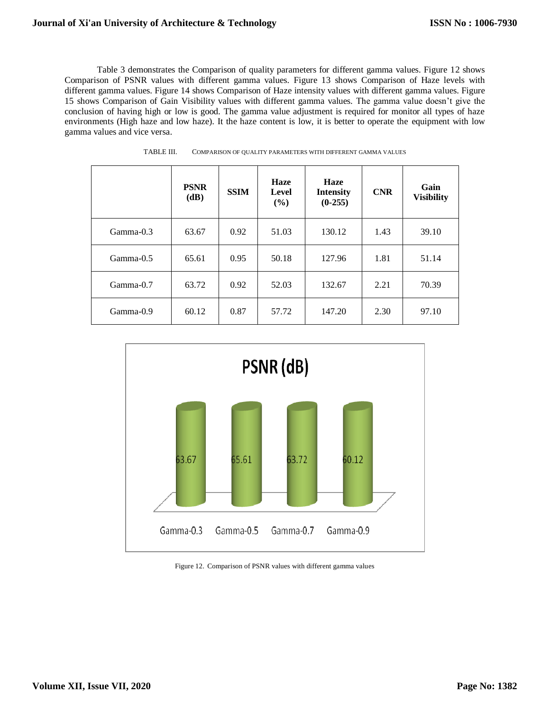[Table 3 demonstrates the Comparison of quality parameters for different gamma values. Figure 12](mailto:Email-%20%20%20anuradhamit@gmail.com) shows [Comparison of PSNR values with different gamma values. Figure 13](mailto:Email-%20%20%20anuradhamit@gmail.com) shows Comparison of Haze levels with different gamma values. Figure 14 [shows Comparison of Haze intensity values with different gamma values. Figure](mailto:Email-%20%20%20anuradhamit@gmail.com)  15 [shows Comparison of Gain Visibility values with different gamma values.](mailto:Email-%20%20%20anuradhamit@gmail.com) The gamma value doesn't give the [conclusion of having high or low is good. The gamma value adjustment is required for monitor all types of haze](mailto:Email-%20%20%20anuradhamit@gmail.com)  [environments \(High haze and low haze\). It the haze content is low, it is better to operate the](mailto:Email-%20%20%20anuradhamit@gmail.com) equipment with low [gamma values and vice versa.](mailto:Email-%20%20%20anuradhamit@gmail.com)

|             | <b>PSNR</b><br>(dB) | <b>SSIM</b> | <b>Haze</b><br>Level<br>(%) | <b>Haze</b><br><b>Intensity</b><br>$(0-255)$ | <b>CNR</b> | Gain<br><b>Visibility</b> |
|-------------|---------------------|-------------|-----------------------------|----------------------------------------------|------------|---------------------------|
| Gamma-0.3   | 63.67               | 0.92        | 51.03                       | 130.12                                       | 1.43       | 39.10                     |
| $Gamma-0.5$ | 65.61               | 0.95        | 50.18                       | 127.96                                       | 1.81       | 51.14                     |
| Gamma-0.7   | 63.72               | 0.92        | 52.03                       | 132.67                                       | 2.21       | 70.39                     |
| Gamma-0.9   | 60.12               | 0.87        | 57.72                       | 147.20                                       | 2.30       | 97.10                     |

| TABLE III.<br>COMPARISON OF QUALITY PARAMETERS WITH DIFFERENT GAMMA VALUES |  |
|----------------------------------------------------------------------------|--|
|----------------------------------------------------------------------------|--|



[Figure 12. Comparison of PSNR values with different gamma values](mailto:Email-%20%20%20anuradhamit@gmail.com)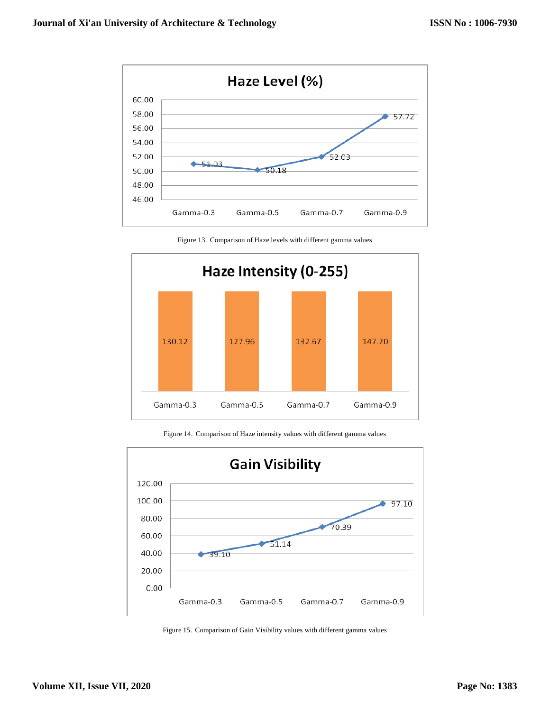

[Figure 13. Comparison of Haze levels with different gamma values](mailto:Email-%20%20%20anuradhamit@gmail.com)



[Figure 14. Comparison of Haze intensity values with different gamma values](mailto:Email-%20%20%20anuradhamit@gmail.com)



[Figure 15. Comparison of Gain Visibility values with different gamma values](mailto:Email-%20%20%20anuradhamit@gmail.com)